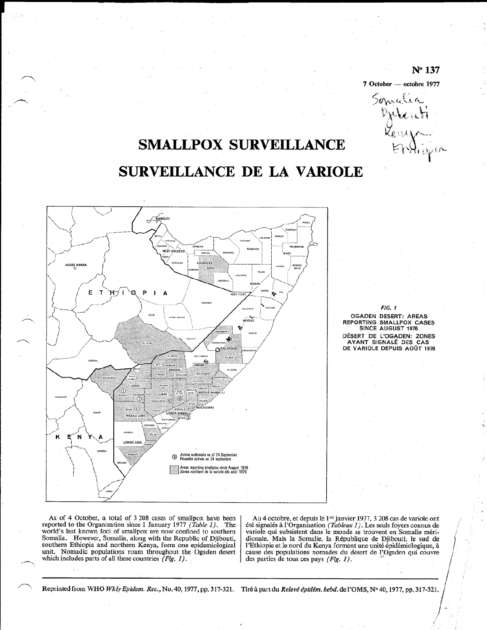# $N<sup>°</sup> 137$

7 October - octobre 1977

Somati

# **SMALLPOX SURVEILLANCE**

# **SURVEILLANCE DE LA VARIOLE**



**FIG. 1 OGADEN DESERT: AREAS** REPORTING SMALLPOX CASES SINCE AUGUST 1976 DÉSERT DE L'OGADEN: ZONES AYANT SIGNALÉ DES CAS DE VARIOLE DEPUIS AOÛT 1976

As of 4 October, a total of 3 208 cases of smallpox have been reported to the Organization since 1 January 1977 (Table 1). The world's last known foci of smallpox are now confined to southern Somalia. However, Somalia, along with the Republic of Djibouti, southern Ethiopia and northern Kenya, form one epidemiological unit. Nomadic populations roam throughout the Ogaden desert which includes parts of all these countries  $(Fig. 1)$ .

Au 4 octobre, et depuis le 1<sup>er</sup> janvier 1977, 3 208 cas de variole ont été signalés à l'Organisation (Tableau 1). Les seuls foyers connus de variole qui subsistent dans le monde se trouvent en Somalie méridionale. Mais la Somalie, la République de Djibouti, le sud de l'Ethiopie et le nord du Kenya forment une unité épidémiologique, à cause des populations nomades du désert de l'Ogaden qui couvre des parties de tous ces pays  $(Fig. 1)$ .

Reprinted from WHO Wkly Epidem. Rec., No. 40, 1977, pp. 317-321. Tiré à part du Relevé épidém. hebd. de l'OMS, Nº 40, 1977, pp. 317-321.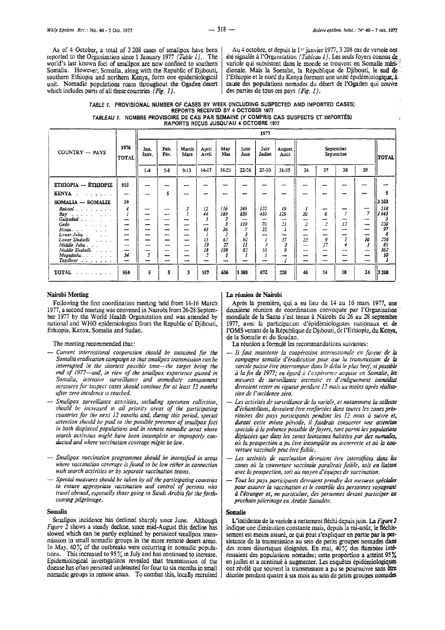As of 4 October, a total of 3 208 cases of smallpox have been reported to the Organization since 1 January 1977 (Table 1). The world's last known foci of smallpox are now confined to southern Somalia. However, Somalia, along with the Republic of Djibouti, southern Ethiopia and northern Kenya, form one epidemiological unit. Nomadic populations roam throughout the Ogaden desert which includes parts of all these countries  $(Fig. 1)$ .

Au 4 octobre, et depuis le 1<sup>er</sup> janvier 1977, 3 208 cas de variole ont été signalés à l'Organisation (Tableau 1). Les seuls foyers connus de variole qui subsistent dans le monde se trouvent en Somalie méridionale. Mais la Somalie, la République de Djibouti, le sud de l'Ethiopie et le nord du Kenya forment une unité épidémiologique, à cause des populations nomades du désert de l'Ogaden qui couvre des parties de tous ces pays (Fig. 1).

#### TABLE 1. PROVISIONAL NUMBER OF CASES BY WEEK (INCLUDING SUSPECTED AND IMPORTED CASES) REPORTS RECEIVED BY 4 OCTOBER 1977 TABLEAU 1. NOMBRE PROVISOIRE DE CAS PAR SEMAINE (Y COMPRIS CAS SUSPECTS ET IMPORTÉS)

RAPORTS REÇUS JUSQU'AU 4 OCTOBRE 1977

|                                                                                                                                                                                                                                                                                                                                                                                                                                                                                                                                            |                                | 1977          |              |               |                |            |                |                          |                |         |         |                        |                                 |              |
|--------------------------------------------------------------------------------------------------------------------------------------------------------------------------------------------------------------------------------------------------------------------------------------------------------------------------------------------------------------------------------------------------------------------------------------------------------------------------------------------------------------------------------------------|--------------------------------|---------------|--------------|---------------|----------------|------------|----------------|--------------------------|----------------|---------|---------|------------------------|---------------------------------|--------------|
| COUNTRY - PAYS                                                                                                                                                                                                                                                                                                                                                                                                                                                                                                                             | 1976<br>TOTAL                  | Jan.<br>Janv. | Feb.<br>Fov. | March<br>Mars | April<br>Avril | May<br>Mai | June<br>Jun    | July<br>Juliet           | August<br>Août |         |         | September<br>Septembre |                                 | <b>TOTAL</b> |
|                                                                                                                                                                                                                                                                                                                                                                                                                                                                                                                                            |                                | $1-4$         | $5 - 8$      | $9 - 13$      | $14 - 17$      | 18-21      | 22-26          | $27 - 30$                | 31-35          | 36      | 37      | 38                     | 39                              |              |
| ETHIOPIA - ÉTHIOPIE                                                                                                                                                                                                                                                                                                                                                                                                                                                                                                                        | 915                            |               |              |               |                | ---        |                |                          | --             |         |         |                        |                                 |              |
| <b>KENYA</b><br>$\mathbf{1} \times \mathbf{1} \times \mathbf{1} \times \mathbf{1} \times \mathbf{1} \times \mathbf{1} \times \mathbf{1} \times \mathbf{1} \times \mathbf{1} \times \mathbf{1} \times \mathbf{1} \times \mathbf{1} \times \mathbf{1} \times \mathbf{1} \times \mathbf{1} \times \mathbf{1} \times \mathbf{1} \times \mathbf{1} \times \mathbf{1} \times \mathbf{1} \times \mathbf{1} \times \mathbf{1} \times \mathbf{1} \times \mathbf{1} \times \mathbf{1} \times \mathbf{1} \times \mathbf{1} \times \mathbf{$<br>$\sim$ | -                              |               | 5            | --            | --             |            |                |                          | --             |         |         |                        |                                 | 5            |
| SOMALIA - SOMALIE                                                                                                                                                                                                                                                                                                                                                                                                                                                                                                                          | 39                             |               |              |               |                |            |                |                          |                |         |         |                        |                                 | 3 203        |
| $Bakool$<br>Bay<br>المتمال المتحاجية                                                                                                                                                                                                                                                                                                                                                                                                                                                                                                       | 4                              |               | --<br>--     | 2             | 12<br>44       | 116<br>189 | 246<br>836     | 122<br>410               | 19<br>129      | x<br>20 | -<br>6  |                        | ┈<br>$\overline{7}$             | 518<br>1 643 |
| Galgadad                                                                                                                                                                                                                                                                                                                                                                                                                                                                                                                                   |                                |               | --           |               | 3              | 2          | $\overline{ }$ | $\overline{\phantom{a}}$ | --             |         |         | 12                     |                                 |              |
| Gedo<br>$\mathbf{u} = \mathbf{u} + \mathbf{u} + \mathbf{u} + \mathbf{u}$<br>$H$ iran<br><b>Contractor</b>                                                                                                                                                                                                                                                                                                                                                                                                                                  | --<br>--                       | ---<br>--     | --           |               | سب<br>43       | 3<br>36    | 110<br>7       | 70<br>10                 | 21             | 2       | 2       |                        | $-$                             | 220<br>97    |
| Lower Juba.<br><b>Contractor</b>                                                                                                                                                                                                                                                                                                                                                                                                                                                                                                           |                                |               | ---          |               |                |            | 3              | --                       |                |         |         | --                     | --                              | б            |
| Lower Shubelli<br><b>Carl Arrivan St</b><br>Middle Juba                                                                                                                                                                                                                                                                                                                                                                                                                                                                                    | --<br>$\overline{\phantom{0}}$ |               | --<br>-      | $-$<br>--     | 15<br>19       | 62<br>27   | 92<br>Ħ        | 3                        | 37             | 23<br>- | 9<br>17 | 4                      | 16                              | 256<br>85    |
| Middle Shabelli                                                                                                                                                                                                                                                                                                                                                                                                                                                                                                                            |                                |               |              | –             | 18             | 198        | 82             | 55                       |                |         |         | ---                    | -                               | 362          |
| $Mogadishu.$ $\ldots$ $\ldots$<br>$To g$ dheer $\ldots$ , $\ldots$                                                                                                                                                                                                                                                                                                                                                                                                                                                                         | 34<br>$\overline{\phantom{a}}$ | 5             |              | ---           | 2              | 1<br>—     | ---            | -                        |                |         |         | --                     | $\overline{\phantom{a}}$<br>$-$ | 10           |
| <b>TOTAL</b><br>المتناول متمارك والمتمار                                                                                                                                                                                                                                                                                                                                                                                                                                                                                                   | 954                            | 5             | 5            | 3             | 157            | 636        | 1 388          | 672                      | 220            | 46      | 34      | 18                     | 24                              | 3 208        |

## Nairobi Meeting

Following the first coordination meeting held from 14-16 March 1977, a second meeting was convened in Nairobi from 26-28 September 1977 by the World Health Organization and was attended by national and WHO epidemiologists from the Republic of Djibouti, Ethiopia, Kenya, Somalia and Sudan.

The meeting recommended that:

- Current international cooperation should be sustained for the Somalia eradication campaign so that smallpox transmission can be interrupted in the shortest possible time—the target being the<br>end of 1977—and, in view of the smallpox experience gained in Somalia, intensive surveillance and immediate containment measures for suspect cases should continue for at least 12 months after zero incidence is reached.
- Smallpox surveillance activities, including specimen collection, should be increased in all priority areas of the participating<br>countries for the next 12 months and, during this period, special attention should be paid to the possible presence of snullpox foci in both displaced populations and in remote nomadic areas where search activities might have been incomplete or improperly conducted and where vaccination coverage might be low.
- Smallpox vaccination programmes should be intensified in areas where vaccination coverage is found to be low either in connection with search activities or by separate vaccination teams.
- Special measures should be taken by all the participating countries to ensure appropriate vaccination and control of persons who travel abroad, especially those going to Saudi Arabia for the forthcoming pilgrimage.

# Somalia

Smallpox incidence has declined sharply since June. Although Figure 2 shows a steady decline, since mid-August this decline has slowed which can be partly explained by persistent smallpox transmission in small nomadic groups in the more remote desert areas. In May, 40% of the outbreaks were occurring in nomadic populations. This increased to  $95\%$  in July and has continued to increase. Epidemiological investigations revealed that transmission of the disease has often persisted undetected for four to six months in small nomadic groups in remote areas. To combat this, locally recruited

#### La réunion de Nairobi

Après la première, qui a eu lieu du 14 au 16 mars 1977, une deuxième réunion de coordination convoquée par l'Organisation mondiale de la Santé s'est tenue à Nairobi du 26 au 28 septembre 1977, avec la participation d'épidémiologistes nationaux et de l'OMS venant de la République de Djibouti, de l'Ethiopie, du Kenya, de la Somalie et du Soudan.

La réunion a formulé les recommandations suivantes:

- Il faut maintenir la coopération internationale en faveur de la campagne somalie d'éradication pour que la transmission de la variole puisse être interrompue dans le délai le plus bref, si possible à la fin de 1977; eu égard à l'expérience acquise en Somalie, les mesures de surveillance intensive et d'endiguement immédiat devraient rester en vigueur pendant 12 mois au moins après réalisation de l'incidence zéro.
- Les activités de surveillance de la variole, et notamment la collecte d'échantillons, devraient être renforcées dans toutes les zones prioritaires des pays participants pendant les 12 mois à suivre et, durant cette même période, il faudrait consacrer une attention spéciale à la présence possible de foyers, tant parmi les populations déplacées que dans les zones lointaines habitées par des nomades, où la prospection a pu être incomplète ou incorrecte et où la couverture vaccinale peut être faible.
- Les activités de vaccination devraient être intensifiées dans les zones où la couverture vaccinale paraîtrait faible, soit en liaison avec la prospection, soit au moyen d'équipes de vaccination.
- Tous les pays participants devraient prendre des mesures spéciales pour assurer la vaccination et le contrôle des personnes voyageant à l'étranger et, en particulier, des personnes devant participer au prochain pélerinage en Arabie Saoudite.

#### Somalie

L'incidence de la variole a nettement fléchi depuis juin. La Figure 2 indique une diminution constante mais, depuis la mi-août, le fléchissement est moins assuré, ce qui peut s'expliquer en partie par la persistance de la transmission au sein de petits groupes nomades dans des zones désertiques éloignées. En mai, 40% des flambées intéressaient des populations nomades; cette proportion a atteint 95%<br>en juillet et a continué à augmenter. Les enquêtes épidémiologiques ont révélé que souvent la transmission a pu se poursuivre sans être décelée pendant quatre à six mois au sein de petits groupes nomades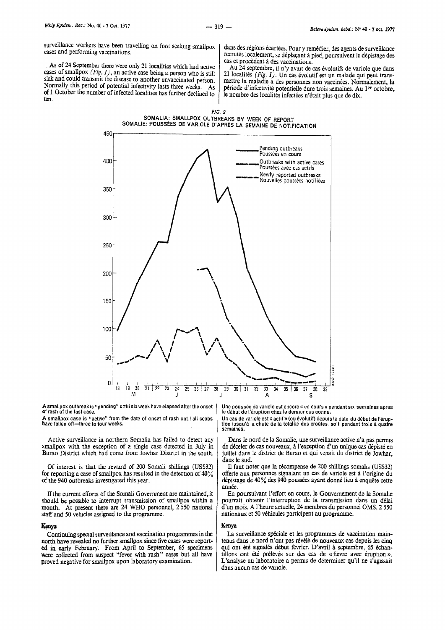surveillance workers have been travelling on foot seeking smallpox cases and performing vaccinations.

As of 24 September there were only 21 localities which had active cases of smallpox *(Fig. 1)*, an active case being a person who is still sick and could transmit the disease to another unvaccinated person. Normally this period of potential infectivity lasts three weeks. As of 1 October the number of infected localities has further declined to ten.

dans des régions écartées. Pour y remédier, des agents de surveillance recrutés localement, se déplaçant à pied, poursuivent le dépistage des cas et procèdent à des vaccinations.

Au 24 septembre, il n'y avait de cas évolutifs de variole que dans 21 localités  $(Fig. I)$ . Un cas évolutif est un malade qui peut transmettre la maladie à des personnes non vaccinées. Normalement, la période d'infectivité potentielle dure trois semaines. Au 1<sup>er</sup> octobre. le nombre des localités infectées n'était plus que de dix.





A smallpox outbreak is "pending" until six week have elapsed after the onset of rash of the last case.

A smallpox case is "active" from the date of onset of rash until all scabs have fallen off-three to four weeks.

Active surveillance in northern Somalia has failed to detect any smallpox with the exception of a single case detected in July in Burao District which had come from Jowhar District in the south.

Of interest is that the reward of 200 Somali shillings (US\$32) for reporting a case of smallpox has resulted in the detection of  $40\%$ of the 940 outbreaks investigated this year.

If the current effons of the Somali Government are maintained, it should be possible to interrupt transmission of smallpox within a month. At present there are 24 WHO personnel, 2 550 national staff and 50 vehicles assigned to the programme.

#### Kenva

Continuing special surveillance and vaccination programmes in the north have revealed no further smallpox since five cases were reported in early February. From April to September, 65 specimens were collected from suspect "fever with rash" cases but all have proved negative for smallpox upon laboratory examination.

Une poussée de variole est encore « en cours » pendant six sem aines apres le début de l'éruption chez le dernier cas connu.

Un cas de variole est « actif » (ou évolutif) depuis la date du début de l'éruption jusqu'à la chute de la totalité des croutes, soit pendant trois à quatre semaines.

Dans le nord de Ia Somalie, une surveillance active n'a pas pernus de déceler de cas nouveaux, à l'exception d'un unique cas dépisté en juillet dans le district de Burao et qui venait du district de Jowhar, dans le sud.

II faut noter que la recompense de 200 shillings somahs (US\$32) offerte aux personnes signalant un cas de variole est a l'origine du dépistage de 40% des 940 poussées ayant donné lieu à enquête cette année.

En poursuivant l'effort en cours, le Gouvernement de la Somalie pourrait obtenir l'interruption de la transmission dans un délai d'un mois. A l'heure actuelle, 24 membres du personnel OMS, 2 *550*  nationaux et 50 vehicules participent au programme.

#### Kenya

La surveillance spéciale et les programmes de vaccination maintenus dans le nord n'ont pas révélé de nouveaux cas depuis les cinq qui ont été signalés début février. D'avril à septembre, 65 échantillons ont été prélevés sur des cas de « fièvre avec éruption ». L'analyse au laboratoire a permis de déterminer qu'il ne s'agissait dans aucun cas de vanole.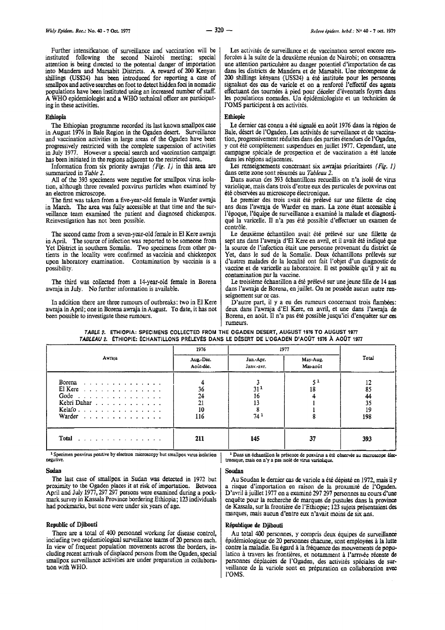Further intensification of surveillance and vaccination will be instituted following the second Nairobi meeting; special attention is being drrected to the potential danger of importation into Mandera and Marsabit Districts. A reward of 200 Kenyan shillings (US\$24) has been introduced for reporting a case of smallpox and active searches on foot to detect hidden foci in nomadic populations have been instituted using an increased number of staff. A WHO epidemiologist and a WHO technical officer are participating in these activities.

#### Ethiopia

The Ethiopian programme recorded its last known smallpox case in August 1976 in Bale Region in the Ogaden desert. Surveillance and vaccination activities in large areas of the Ogaden have been progressively restricted with the complete suspension of activities in July 1977. However a special search and vaccination campaign has been initiated in the regions adjacent to the restricted area.

Information from six priority awrajas (Fig. 1) in this area are summarized in *Table 2*.

All of the 393 specimens were negative for smallpox virus isolation, although three revealed poxvirus particles when examined by an electron microscope.

The first was taken from a five-year-old female in Warder awraja in March. The area was fully accessible at that time and the sur- veillance team examined the patient and diagnosed chickenpox. Reinvestigation has not been possible.

The second came from a seven-year-old female in El Kere awraja in April. The source of infection was reported to be someone from Yet District in southern Somalia. Two specimens from other patients in the locality were confirmed as vaccinia and chickenpox upon laboratory examination. Contamination by vaccinia is a possibility.

The third was collected from a 14-year-old female in Borena awraja in July. No further information is available.

In addition there are three rumours of outbreaks: two in El Kere awraja in April; one in Borena awraja in August. To date, it has not been possible to investigate these rumours.

Les activités de surveillance et de vaccination seront encore ren-<br>forcées à la suite de la deuxième réunion de Nairobi; on consacrera<br>une attention particulière au danger potentiel d'importation de cas<br>dans les districts 200 shillings kényans (USS24) a été instituée pour les personnes signalant des cas de variole et on a renforce l'effectif des agents effectuant des tournées à pied pour déceler d'éventuels foyers dans les populations nomades. Un epidemiologiste et un technicien de l'OMS participent à ces activités.

#### Ethiopie

Le dernier cas connu a été signalé en août 1976 dans la région de Bale, désert de l'Ogaden. Les activités de surveillance et de vaccination, progressivement reduites dans des parties etendues de l'Ogaden, y ont été complètement suspendues en juillet 1977. Cependant, une campagne spéciale de prospection et de vaccination a été lancée dans les regions adjacentes.

Les renseignements concernant six awrajas prioritaires (Fig. 1) dans cette zone sont resumes au *Tableau 2.* 

Dans aucun des 393 échantillons recueillis on n'a isolé de virus variolique, mais dans trois d'entre eux des particules de poxvirus ont été observées au microscope électronique.

Le premier des trois avait été prélevé sur une fillette de cinq ans dans l'awraja de Warder en mars. La zone etant accessible a l'époque, l'équipe de surveillance a examiné la malade et diagnostique Ia varicelle. II n'a pas ete possible d'effectuer un examen de contrôle.

Le deuxième échantillon avait été prélevé sur une fillette de sept ans dans l'awraja d'El Kere en avril, et il avait été indiqué que la source de l'infection était une personne provenant du district de Yet, dans le sud de la Somalie. Deux échantillons prélevés sur d'autres malades de la localité ont fait l'objet d'un diagnostic de vaccine et de varicelle au laboratoire. Il est possible qu'il y ait eu contamination par Ia vaccine.

Le troisième échantillon a été prélevé sur une jeune fille de 14 ans dans l'awraja de Borena, en juillet. On ne possède aucun autre ren- seignement sur ce cas.

D'autre part, il y a eu des rumeurs concernant trois fiambees: deux dans l'awraja d'El Kere, en avril, et une dans l'awraja de Borena, en août. Il n'a pas été possible jusqu'ici d'enquêter sur ces rumeurs.

|                                                                                                              | 1976                        | 1977                    |                      |                                   |
|--------------------------------------------------------------------------------------------------------------|-----------------------------|-------------------------|----------------------|-----------------------------------|
| Awraja                                                                                                       | Aug.-Déc.<br>Août-déc.      | Jan.-Apr.<br>Janv.-avr. | May-Aug.<br>Mai-août | Total                             |
| Borena<br>El Kere a constant construction of the El Kere<br>Gode $\ldots$<br>Kebri Dahar<br>Kelafo<br>Warder | 36<br>24<br>21<br>10<br>116 | 311<br>16<br>13<br>74 1 | 51<br>18             | 12<br>85<br>44<br>35<br>19<br>198 |
| Total                                                                                                        | 211                         | 145                     | 37                   | 393                               |

*TABLE 2.* ETHIOPIA: SPECIMENS COLLECTED FROM THE OGAOEN DESERT, AUGUST 1976 TO AUGUST 1977 *TABLEAU 2.* ETHIOPIE: ECHANTILLONS PRELEVES DANS LE DESERT DE L'OGADEN D'AOOT 1976 A AOOT 1977

<sup>1</sup> Specimen poxvirus positive by electron microscopy but smallpox virus isolation negative.

#### Sudan

The last case of smallpox in Sudan was detected in 1972 but proximity to the Ogaden places it at risk of importation. Between April and July 1977, 297 297 persons were examined during a pockmark survey in Kassala Province bordering Ethiopia; 123 individuals had pockmarks, but none were under six years of age.

#### Republic of Djibouti

There are a total of 400 personnel workmg for disease control, including two epidemiological surveillance teams of 20 persons each. In view of frequent population movements across the borders, including recent arrivals of displaced persons from the Ogaden, special smallpox surveillance activities are under preparation in collaboration with WHO.

#### Soudan

Au Soudao le dernier cas de variole a ete depiste en 1972, mais il *y* a risque d'importation en raison de Ia proxunite de l'Ogaden. D'avril a juillet 1977 on a examine 297 297 personnes au cours d'une enquête pour la recherche de marques de pustules dans la province de Kassala, sur Ia frontiere de I' Ethiopie; 123 sujets presentaient des. marques, mais aucun d'entre eux n'avait moins de six ans.

#### Republique de Djibouti

Au total 400 personnes, y compris deux équipes de surveillance épidémiologique de 20 personnes chacune, sont employées à la lutte contre la maladie. Eu égard à la fréquence des mouvements de population à travers les frontières, et notamment à l'arrivée récente de personnes déplacées de l'Ogaden, des activités spéciales de surveillance de Ia variole soot en preparation en collaboration avec !'OMS.